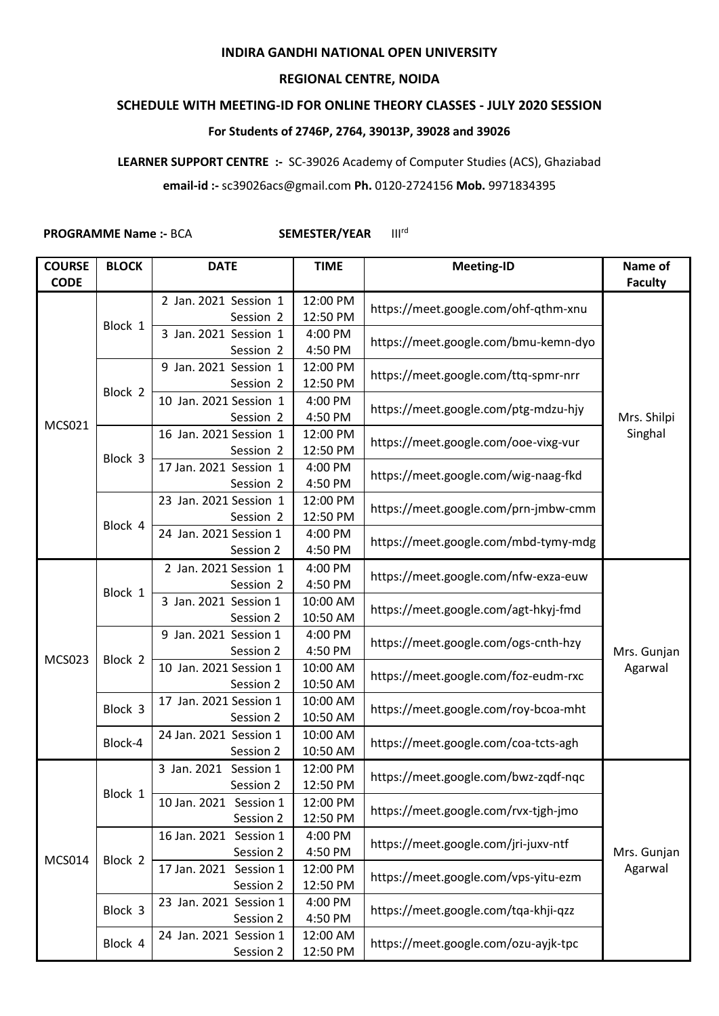## **INDIRA GANDHI NATIONAL OPEN UNIVERSITY**

## **REGIONAL CENTRE, NOIDA**

## **SCHEDULE WITH MEETING-ID FOR ONLINE THEORY CLASSES - JULY 2020 SESSION**

## **For Students of 2746P, 2764, 39013P, 39028 and 39026**

**LEARNER SUPPORT CENTRE :-** SC-39026 Academy of Computer Studies (ACS), Ghaziabad

**email-id :-** sc39026acs@gmail.com **Ph.** 0120-2724156 **Mob.** 9971834395

**PROGRAMME Name :- BCA SEMESTER/YEAR** III<sup>rd</sup>

| <b>COURSE</b> | <b>BLOCK</b> | <b>DATE</b>                         | <b>TIME</b>          | <b>Meeting-ID</b>                                                                                                                                            | Name of                |
|---------------|--------------|-------------------------------------|----------------------|--------------------------------------------------------------------------------------------------------------------------------------------------------------|------------------------|
| <b>CODE</b>   |              |                                     |                      |                                                                                                                                                              | <b>Faculty</b>         |
| <b>MCS021</b> | Block 1      | 2 Jan. 2021 Session 1<br>Session 2  | 12:00 PM<br>12:50 PM | https://meet.google.com/ohf-qthm-xnu                                                                                                                         | Mrs. Shilpi<br>Singhal |
|               |              | 3 Jan. 2021 Session 1               | 4:00 PM              | https://meet.google.com/bmu-kemn-dyo                                                                                                                         |                        |
|               |              | Session 2                           | 4:50 PM              |                                                                                                                                                              |                        |
|               |              | 9 Jan. 2021 Session 1               | 12:00 PM             |                                                                                                                                                              |                        |
|               | Block 2      | Session 2                           | 12:50 PM             | https://meet.google.com/ttq-spmr-nrr<br>https://meet.google.com/ptg-mdzu-hjy                                                                                 |                        |
|               |              | 10 Jan. 2021 Session 1              | 4:00 PM              |                                                                                                                                                              |                        |
|               |              | Session 2                           | 4:50 PM              |                                                                                                                                                              |                        |
|               | Block 3      | 16 Jan. 2021 Session 1              | 12:00 PM             | https://meet.google.com/ooe-vixg-vur                                                                                                                         |                        |
|               |              | Session 2                           | 12:50 PM             |                                                                                                                                                              |                        |
|               |              | 17 Jan. 2021 Session 1              | 4:00 PM              |                                                                                                                                                              |                        |
|               |              | Session 2                           | 4:50 PM              | https://meet.google.com/wig-naag-fkd                                                                                                                         |                        |
|               | Block 4      | 23 Jan. 2021 Session 1              | 12:00 PM             |                                                                                                                                                              |                        |
|               |              | Session 2                           | 12:50 PM             | https://meet.google.com/prn-jmbw-cmm                                                                                                                         |                        |
|               |              | 24 Jan. 2021 Session 1              | 4:00 PM              | https://meet.google.com/mbd-tymy-mdg                                                                                                                         |                        |
|               |              | Session 2                           | 4:50 PM              |                                                                                                                                                              |                        |
|               | Block 1      | 2 Jan. 2021 Session 1               | 4:00 PM              |                                                                                                                                                              | Mrs. Gunjan<br>Agarwal |
|               |              | Session 2                           | 4:50 PM              | https://meet.google.com/nfw-exza-euw                                                                                                                         |                        |
| <b>MCS023</b> |              | 3 Jan. 2021 Session 1               | 10:00 AM             | https://meet.google.com/agt-hkyj-fmd                                                                                                                         |                        |
|               |              | Session 2                           | 10:50 AM             |                                                                                                                                                              |                        |
|               | Block 2      | 9 Jan. 2021 Session 1               | 4:00 PM              | https://meet.google.com/ogs-cnth-hzy                                                                                                                         |                        |
|               |              | Session 2                           | 4:50 PM              |                                                                                                                                                              |                        |
|               |              | 10 Jan. 2021 Session 1              | 10:00 AM             | https://meet.google.com/foz-eudm-rxc                                                                                                                         |                        |
|               |              | Session 2                           | 10:50 AM             |                                                                                                                                                              |                        |
|               | Block 3      | 17 Jan. 2021 Session 1              | 10:00 AM             | https://meet.google.com/roy-bcoa-mht                                                                                                                         |                        |
|               |              | Session 2                           | 10:50 AM             |                                                                                                                                                              |                        |
|               | Block-4      | 24 Jan. 2021 Session 1              | 10:00 AM             | https://meet.google.com/coa-tcts-agh                                                                                                                         |                        |
|               |              | Session 2                           | 10:50 AM             |                                                                                                                                                              |                        |
|               | Block 1      | 3 Jan. 2021 Session 1               | 12:00 PM             | https://meet.google.com/bwz-zqdf-nqc<br>https://meet.google.com/rvx-tjgh-jmo<br>https://meet.google.com/jri-juxv-ntf<br>https://meet.google.com/vps-yitu-ezm | Mrs. Gunjan<br>Agarwal |
|               |              | Session 2                           | 12:50 PM             |                                                                                                                                                              |                        |
| <b>MCS014</b> |              | 10 Jan. 2021 Session 1              | 12:00 PM             |                                                                                                                                                              |                        |
|               |              | Session 2                           | 12:50 PM             |                                                                                                                                                              |                        |
|               | Block 2      | 16 Jan. 2021 Session 1              | 4:00 PM              |                                                                                                                                                              |                        |
|               |              | Session 2                           | 4:50 PM              |                                                                                                                                                              |                        |
|               |              | 17 Jan. 2021 Session 1<br>Session 2 | 12:00 PM<br>12:50 PM |                                                                                                                                                              |                        |
|               | Block 3      | 23 Jan. 2021 Session 1              | 4:00 PM              | https://meet.google.com/tqa-khji-qzz                                                                                                                         |                        |
|               |              | Session 2                           | 4:50 PM              |                                                                                                                                                              |                        |
|               | Block 4      | 24 Jan. 2021 Session 1              | 12:00 AM             | https://meet.google.com/ozu-ayjk-tpc                                                                                                                         |                        |
|               |              | Session 2                           | 12:50 PM             |                                                                                                                                                              |                        |
|               |              |                                     |                      |                                                                                                                                                              |                        |